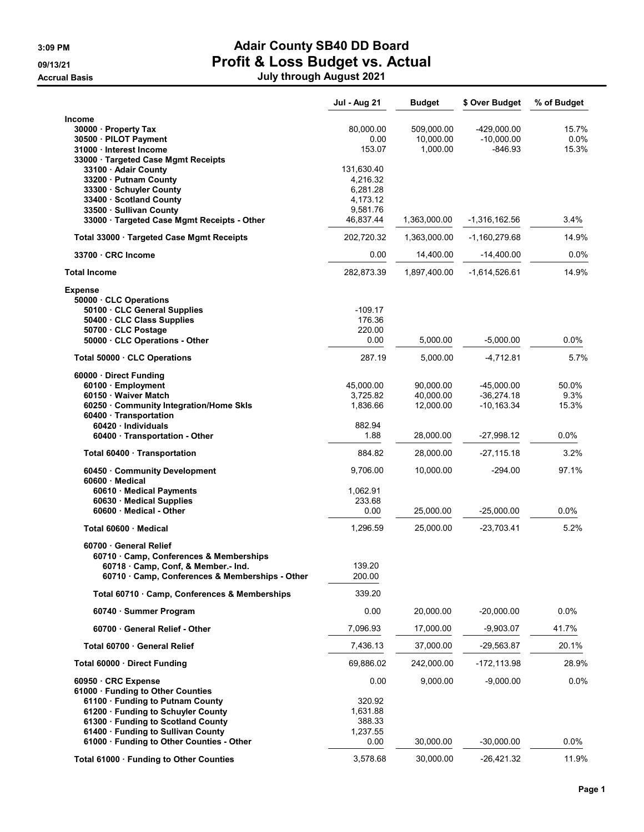|                                                                                    | <b>Jul - Aug 21</b> | <b>Budget</b>         | \$ Over Budget            | % of Budget   |
|------------------------------------------------------------------------------------|---------------------|-----------------------|---------------------------|---------------|
| <b>Income</b>                                                                      |                     |                       |                           |               |
| 30000 · Property Tax                                                               | 80,000.00           | 509.000.00            | -429,000.00               | 15.7%         |
| 30500 · PILOT Payment<br>31000 · Interest Income                                   | 0.00<br>153.07      | 10,000.00<br>1,000.00 | $-10,000.00$<br>$-846.93$ | 0.0%<br>15.3% |
| 33000 · Targeted Case Mgmt Receipts                                                |                     |                       |                           |               |
| 33100 Adair County                                                                 | 131,630.40          |                       |                           |               |
| 33200 · Putnam County                                                              | 4,216.32            |                       |                           |               |
| 33300 · Schuyler County                                                            | 6,281.28            |                       |                           |               |
| 33400 · Scotland County                                                            | 4,173.12            |                       |                           |               |
| 33500 · Sullivan County                                                            | 9,581.76            |                       |                           |               |
| 33000 · Targeted Case Mgmt Receipts - Other                                        | 46,837.44           | 1,363,000.00          | -1,316,162.56             | 3.4%          |
| Total 33000 · Targeted Case Mgmt Receipts                                          | 202,720.32          | 1,363,000.00          | -1,160,279.68             | 14.9%         |
| 33700 CRC Income                                                                   | 0.00                | 14,400.00             | $-14,400.00$              | $0.0\%$       |
| <b>Total Income</b>                                                                | 282,873.39          | 1,897,400.00          | $-1,614,526.61$           | 14.9%         |
| <b>Expense</b>                                                                     |                     |                       |                           |               |
| 50000 CLC Operations                                                               |                     |                       |                           |               |
| 50100 · CLC General Supplies                                                       | $-109.17$           |                       |                           |               |
| 50400 · CLC Class Supplies                                                         | 176.36<br>220.00    |                       |                           |               |
| 50700 CLC Postage<br>50000 · CLC Operations - Other                                | 0.00                | 5,000.00              | $-5,000.00$               | 0.0%          |
| Total 50000 · CLC Operations                                                       | 287.19              | 5,000.00              | $-4,712.81$               | 5.7%          |
|                                                                                    |                     |                       |                           |               |
| 60000 Direct Funding<br>60100 · Employment                                         | 45.000.00           | 90.000.00             | $-45,000.00$              | 50.0%         |
| 60150 · Waiver Match                                                               | 3,725.82            | 40,000.00             | $-36,274.18$              | 9.3%          |
| 60250 Community Integration/Home Skls                                              | 1,836.66            | 12,000.00             | $-10, 163.34$             | 15.3%         |
| 60400 · Transportation                                                             |                     |                       |                           |               |
| 60420 Individuals                                                                  | 882.94              |                       |                           |               |
| 60400 · Transportation - Other                                                     | 1.88                | 28,000.00             | -27,998.12                | 0.0%          |
| Total 60400 · Transportation                                                       | 884.82              | 28,000.00             | -27,115.18                | 3.2%          |
| 60450 Community Development<br>60600 Medical                                       | 9,706.00            | 10,000.00             | $-294.00$                 | 97.1%         |
| 60610 · Medical Payments                                                           | 1,062.91            |                       |                           |               |
| 60630 Medical Supplies                                                             | 233.68              |                       |                           |               |
| 60600 Medical - Other                                                              | 0.00                | 25,000.00             | $-25,000.00$              | 0.0%          |
| Total 60600 · Medical                                                              | 1,296.59            | 25,000.00             | -23,703.41                | 5.2%          |
| 60700 General Relief                                                               |                     |                       |                           |               |
| 60710 · Camp, Conferences & Memberships                                            | 139.20              |                       |                           |               |
| 60718 Camp, Conf, & Member.- Ind.<br>60710 Camp, Conferences & Memberships - Other | 200.00              |                       |                           |               |
| Total 60710 · Camp, Conferences & Memberships                                      | 339.20              |                       |                           |               |
| 60740 · Summer Program                                                             | 0.00                | 20,000.00             | $-20,000.00$              | 0.0%          |
| 60700 General Relief - Other                                                       | 7,096.93            | 17,000.00             | $-9,903.07$               | 41.7%         |
| Total 60700 · General Relief                                                       | 7,436.13            | 37,000.00             | -29,563.87                | 20.1%         |
| Total 60000 Direct Funding                                                         | 69,886.02           | 242,000.00            | $-172, 113.98$            | 28.9%         |
| 60950 CRC Expense                                                                  | 0.00                | 9,000.00              | $-9,000.00$               | 0.0%          |
| 61000 · Funding to Other Counties                                                  |                     |                       |                           |               |
| 61100 · Funding to Putnam County                                                   | 320.92              |                       |                           |               |
| 61200 · Funding to Schuyler County                                                 | 1,631.88            |                       |                           |               |
| 61300 · Funding to Scotland County                                                 | 388.33              |                       |                           |               |
| 61400 · Funding to Sullivan County                                                 | 1,237.55            |                       |                           |               |
| 61000 · Funding to Other Counties - Other                                          | 0.00                | 30,000.00             | $-30,000.00$              | 0.0%          |
| Total 61000 · Funding to Other Counties                                            | 3,578.68            | 30,000.00             | -26,421.32                | 11.9%         |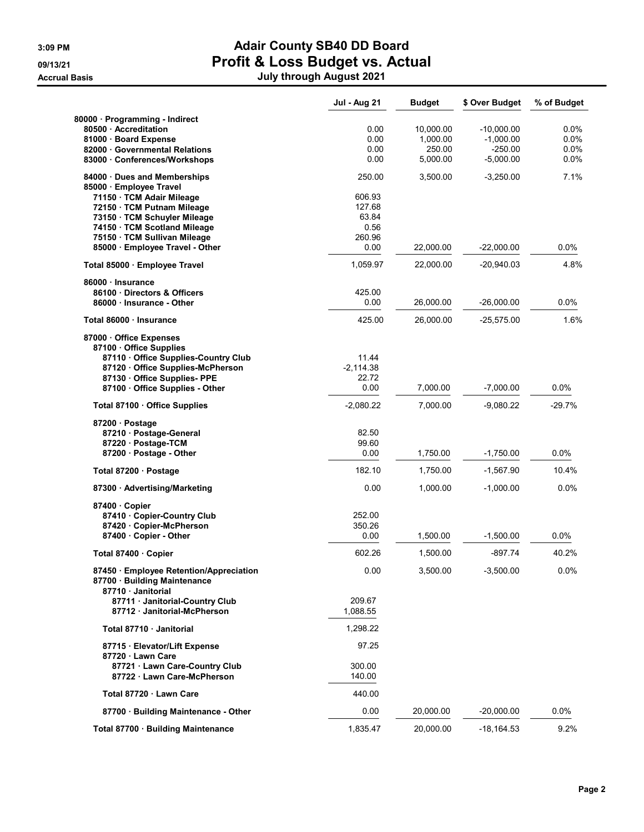|                                                             | <b>Jul - Aug 21</b> | <b>Budget</b> | \$ Over Budget | % of Budget |
|-------------------------------------------------------------|---------------------|---------------|----------------|-------------|
| 80000 · Programming - Indirect                              |                     |               |                |             |
| 80500 Accreditation                                         | 0.00                | 10,000.00     | $-10,000.00$   | $0.0\%$     |
| 81000 Board Expense                                         | 0.00                | 1,000.00      | $-1,000.00$    | 0.0%        |
| 82000 Governmental Relations                                | 0.00                | 250.00        | $-250.00$      | $0.0\%$     |
| 83000 Conferences/Workshops                                 | 0.00                | 5,000.00      | $-5,000.00$    | 0.0%        |
| 84000 Dues and Memberships                                  | 250.00              | 3,500.00      | $-3,250.00$    | 7.1%        |
| 85000 · Employee Travel                                     |                     |               |                |             |
| 71150 · TCM Adair Mileage                                   | 606.93              |               |                |             |
| 72150 · TCM Putnam Mileage                                  | 127.68              |               |                |             |
| 73150 · TCM Schuyler Mileage                                | 63.84               |               |                |             |
| 74150 · TCM Scotland Mileage                                | 0.56                |               |                |             |
| 75150 · TCM Sullivan Mileage                                | 260.96              |               |                |             |
| 85000 · Employee Travel - Other                             | 0.00                | 22,000.00     | $-22,000.00$   | 0.0%        |
| Total 85000 · Employee Travel                               | 1,059.97            | 22,000.00     | $-20,940.03$   | 4.8%        |
| 86000 · Insurance                                           |                     |               |                |             |
| 86100 Directors & Officers                                  | 425.00              |               |                |             |
| 86000 Insurance - Other                                     | 0.00                | 26,000.00     | $-26,000.00$   | 0.0%        |
| Total 86000 · Insurance                                     | 425.00              | 26,000.00     | $-25,575.00$   | 1.6%        |
| 87000 Office Expenses                                       |                     |               |                |             |
| 87100 · Office Supplies                                     |                     |               |                |             |
| 87110 Office Supplies-Country Club                          | 11.44               |               |                |             |
| 87120 Office Supplies-McPherson                             | $-2,114.38$         |               |                |             |
| 87130 Office Supplies-PPE                                   | 22.72               |               |                |             |
| 87100 Office Supplies - Other                               | 0.00                | 7,000.00      | $-7,000.00$    | 0.0%        |
| Total 87100 · Office Supplies                               | $-2,080.22$         | 7,000.00      | $-9,080.22$    | $-29.7%$    |
| 87200 · Postage                                             |                     |               |                |             |
| 87210 Postage-General                                       | 82.50               |               |                |             |
| 87220 · Postage-TCM                                         | 99.60               |               |                |             |
| 87200 · Postage - Other                                     | 0.00                | 1,750.00      | $-1,750.00$    | $0.0\%$     |
| Total 87200 · Postage                                       | 182.10              | 1,750.00      | $-1,567.90$    | 10.4%       |
| 87300 Advertising/Marketing                                 | 0.00                | 1,000.00      | $-1,000.00$    | 0.0%        |
| 87400 Copier                                                |                     |               |                |             |
| 87410 · Copier-Country Club                                 | 252.00              |               |                |             |
| 87420 · Copier-McPherson                                    | 350.26              |               |                |             |
| 87400 Copier - Other                                        | 0.00                | 1,500.00      | $-1,500.00$    | $0.0\%$     |
| Total 87400 · Copier                                        | 602.26              | 1,500.00      | -897.74        | 40.2%       |
| 87450 · Employee Retention/Appreciation                     | 0.00                | 3,500.00      | $-3,500.00$    | 0.0%        |
| 87700 · Building Maintenance                                |                     |               |                |             |
| 87710 Janitorial                                            |                     |               |                |             |
| 87711 Janitorial-Country Club                               | 209.67              |               |                |             |
| 87712 Janitorial-McPherson                                  | 1,088.55            |               |                |             |
| Total 87710 · Janitorial                                    | 1,298.22            |               |                |             |
| 87715 · Elevator/Lift Expense                               | 97.25               |               |                |             |
| 87720 Lawn Care                                             | 300.00              |               |                |             |
| 87721 · Lawn Care-Country Club<br>87722 Lawn Care-McPherson | 140.00              |               |                |             |
| Total 87720 · Lawn Care                                     | 440.00              |               |                |             |
|                                                             |                     |               |                |             |
| 87700 · Building Maintenance - Other                        | 0.00                | 20,000.00     | $-20,000.00$   | 0.0%        |
| Total 87700 · Building Maintenance                          | 1,835.47            | 20,000.00     | $-18, 164.53$  | 9.2%        |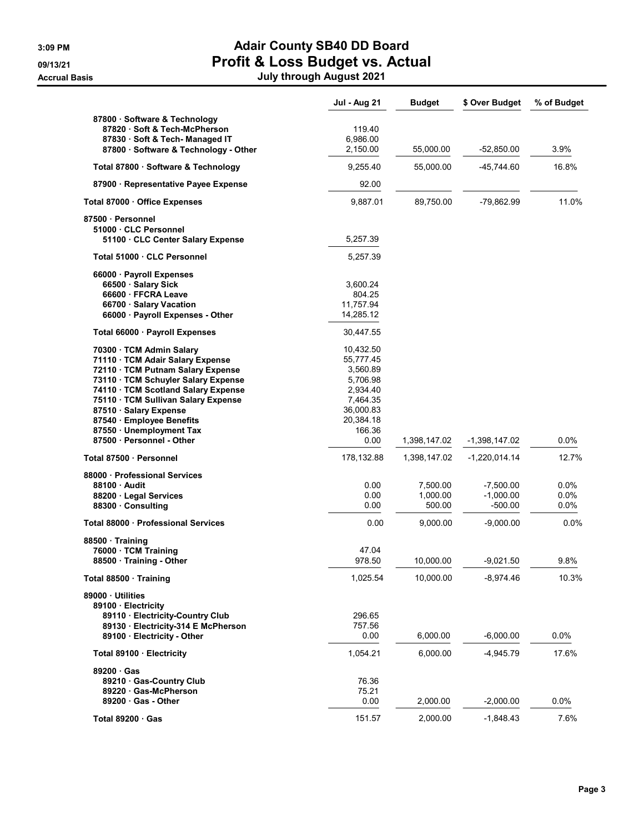|                                                                                                                                                                                                                                                                                                                                      | <b>Jul - Aug 21</b>                                                                                                | <b>Budget</b>                  | \$ Over Budget                          | % of Budget                |
|--------------------------------------------------------------------------------------------------------------------------------------------------------------------------------------------------------------------------------------------------------------------------------------------------------------------------------------|--------------------------------------------------------------------------------------------------------------------|--------------------------------|-----------------------------------------|----------------------------|
| 87800 · Software & Technology<br>87820 · Soft & Tech-McPherson<br>87830 Soft & Tech-Managed IT<br>87800 · Software & Technology - Other                                                                                                                                                                                              | 119.40<br>6,986.00<br>2,150.00                                                                                     | 55,000.00                      | $-52,850.00$                            | 3.9%                       |
| Total 87800 · Software & Technology                                                                                                                                                                                                                                                                                                  | 9,255.40                                                                                                           | 55,000.00                      | -45,744.60                              | 16.8%                      |
| 87900 · Representative Payee Expense                                                                                                                                                                                                                                                                                                 | 92.00                                                                                                              |                                |                                         |                            |
| Total 87000 Office Expenses                                                                                                                                                                                                                                                                                                          | 9,887.01                                                                                                           | 89,750.00                      | -79,862.99                              | 11.0%                      |
| 87500 · Personnel<br>51000 CLC Personnel<br>51100 CLC Center Salary Expense                                                                                                                                                                                                                                                          | 5,257.39                                                                                                           |                                |                                         |                            |
| Total 51000 · CLC Personnel                                                                                                                                                                                                                                                                                                          | 5,257.39                                                                                                           |                                |                                         |                            |
| 66000 · Payroll Expenses<br>66500 · Salary Sick<br>66600 FFCRA Leave<br>66700 · Salary Vacation<br>66000 · Payroll Expenses - Other                                                                                                                                                                                                  | 3,600.24<br>804.25<br>11.757.94<br>14,285.12                                                                       |                                |                                         |                            |
| Total 66000 · Payroll Expenses                                                                                                                                                                                                                                                                                                       | 30,447.55                                                                                                          |                                |                                         |                            |
| 70300 · TCM Admin Salary<br>71110 · TCM Adair Salary Expense<br>72110 TCM Putnam Salary Expense<br>73110 · TCM Schuyler Salary Expense<br>74110 · TCM Scotland Salary Expense<br>75110 · TCM Sullivan Salary Expense<br>87510 · Salary Expense<br>87540 · Employee Benefits<br>87550 · Unemployment Tax<br>87500 · Personnel - Other | 10,432.50<br>55,777.45<br>3,560.89<br>5,706.98<br>2,934.40<br>7,464.35<br>36,000.83<br>20,384.18<br>166.36<br>0.00 | 1,398,147.02                   | $-1,398,147.02$                         | $0.0\%$                    |
| Total 87500 · Personnel                                                                                                                                                                                                                                                                                                              | 178,132.88                                                                                                         | 1,398,147.02                   | $-1,220,014.14$                         | 12.7%                      |
| 88000 Professional Services<br>88100 Audit<br>88200 · Legal Services<br>88300 Consulting                                                                                                                                                                                                                                             | 0.00<br>0.00<br>0.00                                                                                               | 7,500.00<br>1,000.00<br>500.00 | $-7,500.00$<br>$-1,000.00$<br>$-500.00$ | $0.0\%$<br>$0.0\%$<br>0.0% |
| Total 88000 Professional Services                                                                                                                                                                                                                                                                                                    | 0.00                                                                                                               | 9,000.00                       | $-9,000.00$                             | 0.0%                       |
| 88500 Training<br>76000 · TCM Training<br>88500 Training - Other                                                                                                                                                                                                                                                                     | 47.04<br>978.50                                                                                                    | 10,000.00                      | $-9,021.50$                             | 9.8%                       |
| Total 88500 · Training                                                                                                                                                                                                                                                                                                               | 1,025.54                                                                                                           | 10,000.00                      | $-8,974.46$                             | 10.3%                      |
| 89000 Utilities<br>89100 · Electricity<br>89110 · Electricity-Country Club<br>89130 Electricity-314 E McPherson<br>89100 Electricity - Other                                                                                                                                                                                         | 296.65<br>757.56<br>0.00                                                                                           | 6,000.00                       | $-6,000.00$                             | 0.0%                       |
| Total 89100 · Electricity                                                                                                                                                                                                                                                                                                            | 1,054.21                                                                                                           | 6,000.00                       | $-4,945.79$                             | 17.6%                      |
| 89200 Gas<br>89210 Gas-Country Club<br>89220 Gas-McPherson<br>89200 Gas - Other                                                                                                                                                                                                                                                      | 76.36<br>75.21<br>0.00                                                                                             | 2,000.00                       | $-2,000.00$                             | 0.0%                       |
| Total 89200 · Gas                                                                                                                                                                                                                                                                                                                    | 151.57                                                                                                             | 2,000.00                       | $-1,848.43$                             | 7.6%                       |